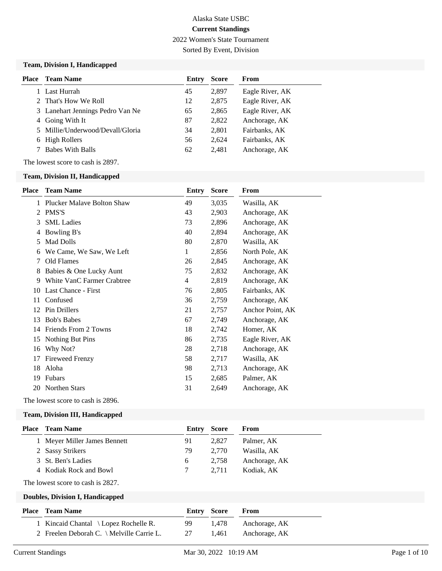2022 Women's State Tournament

Sorted By Event, Division

#### **Team, Division I, Handicapped**

| <b>Place</b> | <b>Team Name</b>                 | Entry | <b>Score</b> | <b>From</b>     |
|--------------|----------------------------------|-------|--------------|-----------------|
|              | Last Hurrah                      | 45    | 2,897        | Eagle River, AK |
|              | 2 That's How We Roll             | 12    | 2,875        | Eagle River, AK |
|              | 3 Lanehart Jennings Pedro Van Ne | 65    | 2,865        | Eagle River, AK |
|              | 4 Going With It                  | 87    | 2,822        | Anchorage, AK   |
|              | 5 Millie/Underwood/Devall/Gloria | 34    | 2,801        | Fairbanks, AK   |
|              | 6 High Rollers                   | 56    | 2.624        | Fairbanks, AK   |
|              | <b>Babes With Balls</b>          | 62    | 2,481        | Anchorage, AK   |

The lowest score to cash is 2897.

#### **Team, Division II, Handicapped**

| <b>Place</b> | <b>Team Name</b>             | <b>Entry</b> | <b>Score</b> | From             |
|--------------|------------------------------|--------------|--------------|------------------|
|              | 1 Plucker Malaye Bolton Shaw | 49           | 3,035        | Wasilla, AK      |
| 2            | PMS'S                        | 43           | 2,903        | Anchorage, AK    |
| 3            | <b>SML</b> Ladies            | 73           | 2,896        | Anchorage, AK    |
| 4            | Bowling B's                  | 40           | 2,894        | Anchorage, AK    |
| 5            | Mad Dolls                    | 80           | 2,870        | Wasilla, AK      |
| 6            | We Came, We Saw, We Left     | 1            | 2,856        | North Pole, AK   |
| 7            | Old Flames                   | 26           | 2,845        | Anchorage, AK    |
| 8            | Babies & One Lucky Aunt      | 75           | 2,832        | Anchorage, AK    |
| 9            | White VanC Farmer Crabtree   | 4            | 2,819        | Anchorage, AK    |
| 10           | Last Chance - First          | 76           | 2,805        | Fairbanks, AK    |
| 11           | Confused                     | 36           | 2,759        | Anchorage, AK    |
| 12           | <b>Pin Drillers</b>          | 21           | 2,757        | Anchor Point, AK |
| 13           | <b>Bob's Babes</b>           | 67           | 2,749        | Anchorage, AK    |
| 14           | Friends From 2 Towns         | 18           | 2,742        | Homer, AK        |
| 15           | Nothing But Pins             | 86           | 2,735        | Eagle River, AK  |
| 16           | Why Not?                     | 28           | 2,718        | Anchorage, AK    |
| 17           | <b>Fireweed Frenzy</b>       | 58           | 2,717        | Wasilla, AK      |
| 18           | Aloha                        | 98           | 2,713        | Anchorage, AK    |
| 19           | Fubars                       | 15           | 2,685        | Palmer, AK       |
| 20           | <b>Northen Stars</b>         | 31           | 2,649        | Anchorage, AK    |
|              |                              |              |              |                  |

The lowest score to cash is 2896.

### **Team, Division III, Handicapped**

| Place | <b>Team Name</b>             |    | <b>Entry Score</b> | From          |
|-------|------------------------------|----|--------------------|---------------|
|       | 1 Meyer Miller James Bennett | 91 | 2.827              | Palmer, AK    |
|       | 2 Sassy Strikers             | 79 | 2.770              | Wasilla, AK   |
|       | 3 St. Ben's Ladies           | 6  | 2.758              | Anchorage, AK |
|       | 4 Kodiak Rock and Bowl       |    | 2.711              | Kodiak. AK    |
|       |                              |    |                    |               |

The lowest score to cash is 2827.

### **Doubles, Division I, Handicapped**

|                                           | Entry Score |       | From          |
|-------------------------------------------|-------------|-------|---------------|
| 1 Kincaid Chantal \ Lopez Rochelle R.     | 99.         | 1.478 | Anchorage, AK |
| 2 Freelen Deborah C. \ Melville Carrie L. | 27          | 1.461 | Anchorage, AK |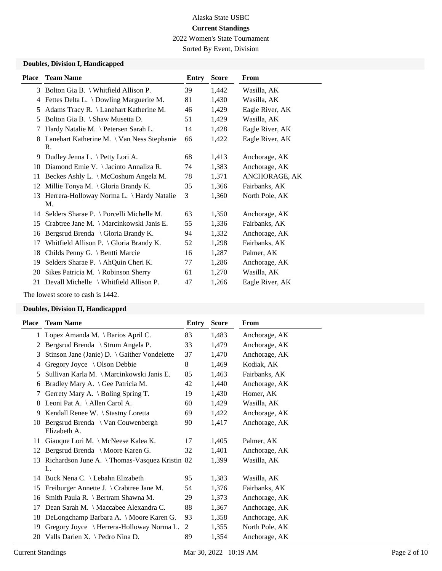2022 Women's State Tournament

Sorted By Event, Division

# **Doubles, Division I, Handicapped**

| Place | <b>Team Name</b>                                   | Entry | <b>Score</b> | From            |
|-------|----------------------------------------------------|-------|--------------|-----------------|
| 3     | Bolton Gia B. \ Whitfield Allison P.               | 39    | 1,442        | Wasilla, AK     |
| 4     | Fettes Delta L. \ Dowling Marguerite M.            | 81    | 1,430        | Wasilla, AK     |
| 5     | Adams Tracy R. \ Lanehart Katherine M.             | 46    | 1,429        | Eagle River, AK |
| 5     | Bolton Gia B. \ Shaw Musetta D.                    | 51    | 1,429        | Wasilla, AK     |
| 7     | Hardy Natalie M. \ Petersen Sarah L.               | 14    | 1,428        | Eagle River, AK |
| 8     | Lanehart Katherine M. \ Van Ness Stephanie         | 66    | 1,422        | Eagle River, AK |
|       | R.                                                 |       |              |                 |
| 9     | Dudley Jenna L. \ Petty Lori A.                    | 68    | 1,413        | Anchorage, AK   |
| 10    | Diamond Emie V. \ Jacinto Annaliza R.              | 74    | 1,383        | Anchorage, AK   |
| 11    | Beckes Ashly L. \ McCoshum Angela M.               | 78    | 1,371        | ANCHORAGE, AK   |
| 12    | Millie Tonya M. $\setminus$ Gloria Brandy K.       | 35    | 1,366        | Fairbanks, AK   |
|       | 13 Herrera-Holloway Norma L. \ Hardy Natalie<br>M. | 3     | 1,360        | North Pole, AK  |
|       |                                                    |       |              |                 |
|       | 14 Selders Sharae P. \ Porcelli Michelle M.        | 63    | 1,350        | Anchorage, AK   |
| 15    | Crabtree Jane M. \ Marcinkowski Janis E.           | 55    | 1,336        | Fairbanks, AK   |
| 16    | Bergsrud Brenda \ Gloria Brandy K.                 | 94    | 1,332        | Anchorage, AK   |
| 17    | Whitfield Allison P. \ Gloria Brandy K.            | 52    | 1,298        | Fairbanks, AK   |
| 18    | Childs Penny G. \ Bentti Marcie                    | 16    | 1,287        | Palmer, AK      |
| 19    | Selders Sharae P. \ AhQuin Cheri K.                | 77    | 1,286        | Anchorage, AK   |
| 20    | Sikes Patricia M. $\setminus$ Robinson Sherry      | 61    | 1,270        | Wasilla, AK     |
| 21    | Devall Michelle \ Whitfield Allison P.             | 47    | 1,266        | Eagle River, AK |
|       |                                                    |       |              |                 |

The lowest score to cash is 1442.

## **Doubles, Division II, Handicapped**

| Place | <b>Team Name</b>                                       | Entry | <b>Score</b> | From           |
|-------|--------------------------------------------------------|-------|--------------|----------------|
|       | 1 Lopez Amanda M. \ Barios April C.                    | 83    | 1,483        | Anchorage, AK  |
| 2     | Bergsrud Brenda \ Strum Angela P.                      | 33    | 1,479        | Anchorage, AK  |
| 3     | Stinson Jane (Janie) D. \ Gaither Vondelette           | 37    | 1,470        | Anchorage, AK  |
| 4     | Gregory Joyce $\setminus$ Olson Debbie                 | 8     | 1,469        | Kodiak, AK     |
| 5     | Sullivan Karla M. \ Marcinkowski Janis E.              | 85    | 1,463        | Fairbanks, AK  |
| 6     | Bradley Mary A. \ Gee Patricia M.                      | 42    | 1,440        | Anchorage, AK  |
| 7     | Gerrety Mary A. \ Boling Spring T.                     | 19    | 1,430        | Homer, AK      |
| 8     | Leoni Pat A. \ Allen Carol A.                          | 60    | 1,429        | Wasilla, AK    |
| 9     | Kendall Renee W. \ Stastny Loretta                     | 69    | 1,422        | Anchorage, AK  |
| 10    | Bergsrud Brenda \ Van Couwenbergh<br>Elizabeth A.      | 90    | 1,417        | Anchorage, AK  |
| 11    | Giauque Lori M. \ McNeese Kalea K.                     | 17    | 1,405        | Palmer, AK     |
| 12    | Bergsrud Brenda \ Moore Karen G.                       | 32    | 1,401        | Anchorage, AK  |
|       | 13 Richardson June A. \Thomas-Vasquez Kristin 82<br>L. |       | 1,399        | Wasilla, AK    |
|       | 14 Buck Nena C. \ Lebahn Elizabeth                     | 95    | 1,383        | Wasilla, AK    |
| 15    | Freiburger Annette J. \ Crabtree Jane M.               | 54    | 1,376        | Fairbanks, AK  |
| 16    | Smith Paula R. \ Bertram Shawna M.                     | 29    | 1,373        | Anchorage, AK  |
| 17    | Dean Sarah M. \ Maccabee Alexandra C.                  | 88    | 1,367        | Anchorage, AK  |
| 18    | DeLongchamp Barbara A. \ Moore Karen G.                | 93    | 1,358        | Anchorage, AK  |
| 19    | Gregory Joyce \ Herrera-Holloway Norma L.              | 2     | 1,355        | North Pole, AK |
| 20    | Valls Darien X. \ Pedro Nina D.                        | 89    | 1,354        | Anchorage, AK  |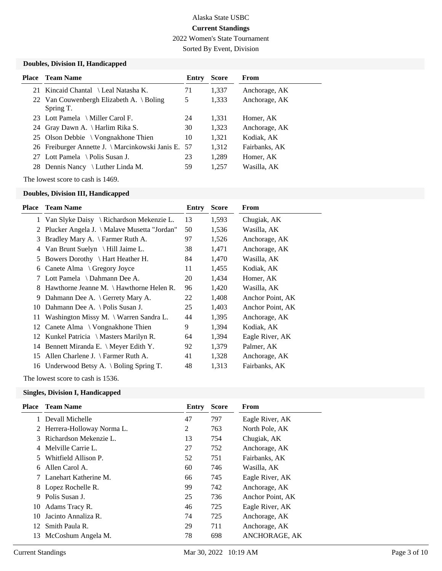2022 Women's State Tournament

Sorted By Event, Division

## **Doubles, Division II, Handicapped**

| <b>Place</b> Team Name                                | Entry | <b>Score</b> | From          |
|-------------------------------------------------------|-------|--------------|---------------|
| 21 Kincaid Chantal \ Leal Natasha K.                  | 71    | 1,337        | Anchorage, AK |
| 22 Van Couwenbergh Elizabeth A. \ Boling<br>Spring T. | 5     | 1,333        | Anchorage, AK |
| 23 Lott Pamela \ Miller Carol F.                      | 24    | 1,331        | Homer, AK     |
| 24 Gray Dawn A. \ Harlim Rika S.                      | 30    | 1,323        | Anchorage, AK |
| 25 Olson Debbie \ Vongnakhone Thien                   | 10    | 1.321        | Kodiak, AK    |
| 26 Freiburger Annette J. \ Marcinkowski Janis E. 57   |       | 1,312        | Fairbanks, AK |
| 27 Lott Pamela \ Polis Susan J.                       | 23    | 1,289        | Homer, AK     |
| 28 Dennis Nancy \ Luther Linda M.                     | 59    | 1,257        | Wasilla, AK   |

The lowest score to cash is 1469.

#### **Doubles, Division III, Handicapped**

| Place  | <b>Team Name</b>                                | Entry | <b>Score</b> | From             |
|--------|-------------------------------------------------|-------|--------------|------------------|
|        | 1 Van Slyke Daisy \ Richardson Mekenzie L.      | 13    | 1,593        | Chugiak, AK      |
| 2      | Plucker Angela J. \ Malave Musetta "Jordan"     | 50    | 1,536        | Wasilla, AK      |
| 3      | Bradley Mary A. \ Farmer Ruth A.                | 97    | 1,526        | Anchorage, AK    |
| 4      | Van Brunt Suelyn $\H$ Hill Jaime L.             | 38    | 1,471        | Anchorage, AK    |
| 5      | Bowers Dorothy $\ \$ Hart Heather H.            | 84    | 1,470        | Wasilla, AK      |
| 6      | Canete Alma \ Gregory Joyce                     | 11    | 1,455        | Kodiak, AK       |
| $\tau$ | Lott Pamela $\setminus$ Dahmann Dee A.          | 20    | 1,434        | Homer, AK        |
| 8.     | Hawthorne Jeanne M. $\{$ Hawthorne Helen R.     | 96    | 1,420        | Wasilla, AK      |
| 9      | Dahmann Dee A. \ Gerrety Mary A.                | 22    | 1,408        | Anchor Point, AK |
| 10     | Dahmann Dee A. \ Polis Susan J.                 | 25    | 1,403        | Anchor Point, AK |
| 11     | Washington Missy M. \ Warren Sandra L.          | 44    | 1,395        | Anchorage, AK    |
|        | 12 Canete Alma \ Vongnakhone Thien              | 9     | 1,394        | Kodiak, AK       |
| 12     | Kunkel Patricia $\setminus$ Masters Marilyn R.  | 64    | 1,394        | Eagle River, AK  |
| 14     | Bennett Miranda E. \ Meyer Edith Y.             | 92    | 1,379        | Palmer, AK       |
| 15     | Allen Charlene J. $\Gamma$ Farmer Ruth A.       | 41    | 1,328        | Anchorage, AK    |
| 16     | Underwood Betsy A. $\setminus$ Boling Spring T. | 48    | 1,313        | Fairbanks, AK    |
|        |                                                 |       |              |                  |

The lowest score to cash is 1536.

# **Singles, Division I, Handicapped**

| Place | <b>Team Name</b>            | Entry | <b>Score</b> | From             |
|-------|-----------------------------|-------|--------------|------------------|
|       | 1 Devall Michelle           | 47    | 797          | Eagle River, AK  |
|       | 2 Herrera-Holloway Norma L. | 2     | 763          | North Pole, AK   |
|       | 3 Richardson Mekenzie L.    | 13    | 754          | Chugiak, AK      |
|       | 4 Melville Carrie L.        | 27    | 752          | Anchorage, AK    |
| 5.    | Whitfield Allison P.        | 52    | 751          | Fairbanks, AK    |
| 6     | Allen Carol A.              | 60    | 746          | Wasilla, AK      |
|       | 7 Lanehart Katherine M.     | 66    | 745          | Eagle River, AK  |
|       | 8 Lopez Rochelle R.         | 99    | 742          | Anchorage, AK    |
| 9     | Polis Susan J.              | 25    | 736          | Anchor Point, AK |
| 10    | Adams Tracy R.              | 46    | 725          | Eagle River, AK  |
| 10    | Jacinto Annaliza R.         | 74    | 725          | Anchorage, AK    |
| 12    | Smith Paula R.              | 29    | 711          | Anchorage, AK    |
| 13    | McCoshum Angela M.          | 78    | 698          | ANCHORAGE, AK    |
|       |                             |       |              |                  |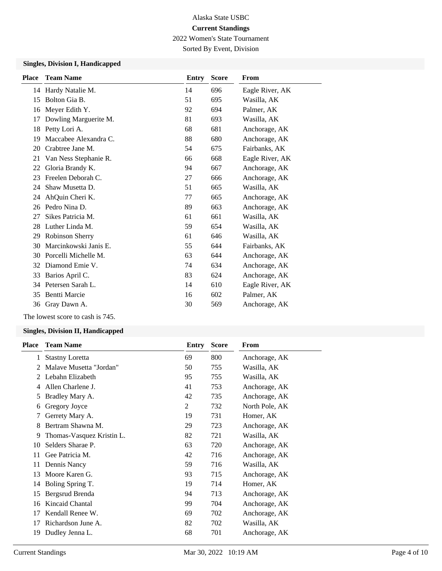2022 Women's State Tournament

Sorted By Event, Division

# **Singles, Division I, Handicapped**

| <b>Place</b> | <b>Team Name</b>      | Entry | <b>Score</b> | From            |
|--------------|-----------------------|-------|--------------|-----------------|
|              | 14 Hardy Natalie M.   | 14    | 696          | Eagle River, AK |
| 15           | Bolton Gia B.         | 51    | 695          | Wasilla, AK     |
| 16           | Meyer Edith Y.        | 92    | 694          | Palmer, AK      |
| 17           | Dowling Marguerite M. | 81    | 693          | Wasilla, AK     |
| 18           | Petty Lori A.         | 68    | 681          | Anchorage, AK   |
| 19           | Maccabee Alexandra C. | 88    | 680          | Anchorage, AK   |
| 20           | Crabtree Jane M.      | 54    | 675          | Fairbanks, AK   |
| 21           | Van Ness Stephanie R. | 66    | 668          | Eagle River, AK |
| 22           | Gloria Brandy K.      | 94    | 667          | Anchorage, AK   |
| 23           | Freelen Deborah C.    | 27    | 666          | Anchorage, AK   |
| 24           | Shaw Musetta D.       | 51    | 665          | Wasilla, AK     |
| 24           | AhQuin Cheri K.       | 77    | 665          | Anchorage, AK   |
| 26           | Pedro Nina D.         | 89    | 663          | Anchorage, AK   |
| 27           | Sikes Patricia M.     | 61    | 661          | Wasilla, AK     |
| 28           | Luther Linda M.       | 59    | 654          | Wasilla, AK     |
| 29           | Robinson Sherry       | 61    | 646          | Wasilla, AK     |
| 30           | Marcinkowski Janis E. | 55    | 644          | Fairbanks, AK   |
| 30           | Porcelli Michelle M.  | 63    | 644          | Anchorage, AK   |
| 32           | Diamond Emie V.       | 74    | 634          | Anchorage, AK   |
| 33           | Barios April C.       | 83    | 624          | Anchorage, AK   |
| 34           | Petersen Sarah L.     | 14    | 610          | Eagle River, AK |
| 35           | <b>Bentti Marcie</b>  | 16    | 602          | Palmer, AK      |
| 36           | Gray Dawn A.          | 30    | 569          | Anchorage, AK   |

The lowest score to cash is 745.

### **Singles, Division II, Handicapped**

| <b>Place</b> | <b>Team Name</b>          | Entry | <b>Score</b> | From           |
|--------------|---------------------------|-------|--------------|----------------|
| 1            | <b>Stastny Loretta</b>    | 69    | 800          | Anchorage, AK  |
| 2            | Malaye Musetta "Jordan"   | 50    | 755          | Wasilla, AK    |
| 2            | Lebahn Elizabeth          | 95    | 755          | Wasilla, AK    |
| 4            | Allen Charlene J.         | 41    | 753          | Anchorage, AK  |
| 5            | Bradley Mary A.           | 42    | 735          | Anchorage, AK  |
| 6            | Gregory Joyce             | 2     | 732          | North Pole, AK |
| 7            | Gerrety Mary A.           | 19    | 731          | Homer, AK      |
| 8            | Bertram Shawna M.         | 29    | 723          | Anchorage, AK  |
| 9            | Thomas-Vasquez Kristin L. | 82    | 721          | Wasilla, AK    |
| 10           | Selders Sharae P.         | 63    | 720          | Anchorage, AK  |
| 11           | Gee Patricia M.           | 42    | 716          | Anchorage, AK  |
| 11           | Dennis Nancy              | 59    | 716          | Wasilla, AK    |
| 13           | Moore Karen G.            | 93    | 715          | Anchorage, AK  |
| 14           | Boling Spring T.          | 19    | 714          | Homer, AK      |
| 15           | Bergsrud Brenda           | 94    | 713          | Anchorage, AK  |
| 16           | Kincaid Chantal           | 99    | 704          | Anchorage, AK  |
| 17           | Kendall Renee W.          | 69    | 702          | Anchorage, AK  |
| 17           | Richardson June A.        | 82    | 702          | Wasilla, AK    |
| 19           | Dudley Jenna L.           | 68    | 701          | Anchorage, AK  |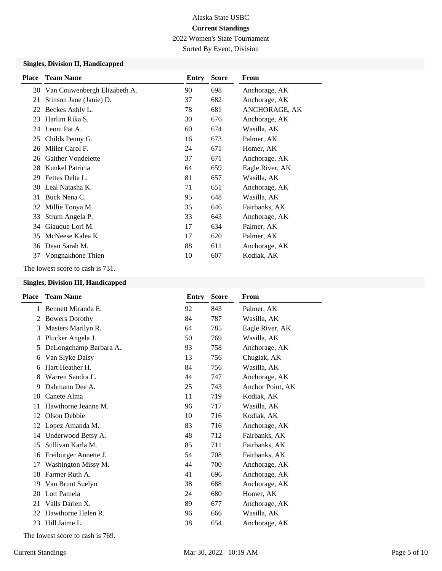2022 Women's State Tournament

Sorted By Event, Division

# **Singles, Division II, Handicapped**

| <b>Team Name</b>        | Entry                                                                                                                                                                                                                                                                                                | <b>Score</b> | From            |
|-------------------------|------------------------------------------------------------------------------------------------------------------------------------------------------------------------------------------------------------------------------------------------------------------------------------------------------|--------------|-----------------|
|                         | 90                                                                                                                                                                                                                                                                                                   | 698          | Anchorage, AK   |
| Stinson Jane (Janie) D. | 37                                                                                                                                                                                                                                                                                                   | 682          | Anchorage, AK   |
|                         | 78                                                                                                                                                                                                                                                                                                   | 681          | ANCHORAGE, AK   |
| Harlim Rika S.          | 30                                                                                                                                                                                                                                                                                                   | 676          | Anchorage, AK   |
|                         | 60                                                                                                                                                                                                                                                                                                   | 674          | Wasilla, AK     |
|                         | 16                                                                                                                                                                                                                                                                                                   | 673          | Palmer, AK      |
|                         | 24                                                                                                                                                                                                                                                                                                   | 671          | Homer, AK       |
|                         | 37                                                                                                                                                                                                                                                                                                   | 671          | Anchorage, AK   |
|                         | 64                                                                                                                                                                                                                                                                                                   | 659          | Eagle River, AK |
|                         | 81                                                                                                                                                                                                                                                                                                   | 657          | Wasilla, AK     |
|                         | 71                                                                                                                                                                                                                                                                                                   | 651          | Anchorage, AK   |
|                         | 95                                                                                                                                                                                                                                                                                                   | 648          | Wasilla, AK     |
|                         | 35                                                                                                                                                                                                                                                                                                   | 646          | Fairbanks, AK   |
| Strum Angela P.         | 33                                                                                                                                                                                                                                                                                                   | 643          | Anchorage, AK   |
| Giauque Lori M.         | 17                                                                                                                                                                                                                                                                                                   | 634          | Palmer, AK      |
|                         | 17                                                                                                                                                                                                                                                                                                   | 620          | Palmer, AK      |
|                         | 88                                                                                                                                                                                                                                                                                                   | 611          | Anchorage, AK   |
|                         | 10                                                                                                                                                                                                                                                                                                   | 607          | Kodiak, AK      |
|                         | 20 Van Couwenbergh Elizabeth A.<br>Beckes Ashly L.<br>24 Leoni Pat A.<br>Childs Penny G.<br>Miller Carol F.<br><b>Gaither Vondelette</b><br>Kunkel Patricia<br>Fettes Delta L.<br>30 Leal Natasha K.<br>Buck Nena C.<br>32 Millie Tonya M.<br>McNeese Kalea K.<br>Dean Sarah M.<br>Vongnakhone Thien |              |                 |

The lowest score to cash is 731.

## **Singles, Division III, Handicapped**

| <b>Place</b> | <b>Team Name</b>                 | <b>Entry</b> | <b>Score</b> | From             |
|--------------|----------------------------------|--------------|--------------|------------------|
| 1            | Bennett Miranda E.               | 92           | 843          | Palmer, AK       |
| 2            | <b>Bowers Dorothy</b>            | 84           | 787          | Wasilla, AK      |
| 3            | Masters Marilyn R.               | 64           | 785          | Eagle River, AK  |
| 4            | Plucker Angela J.                | 50           | 769          | Wasilla, AK      |
| 5            | DeLongchamp Barbara A.           | 93           | 758          | Anchorage, AK    |
| 6            | Van Slyke Daisy                  | 13           | 756          | Chugiak, AK      |
| 6            | Hart Heather H.                  | 84           | 756          | Wasilla, AK      |
| 8            | Warren Sandra L.                 | 44           | 747          | Anchorage, AK    |
| 9            | Dahmann Dee A.                   | 25           | 743          | Anchor Point, AK |
| 10           | Canete Alma                      | 11           | 719          | Kodiak, AK       |
| 11           | Hawthorne Jeanne M.              | 96           | 717          | Wasilla, AK      |
| 12           | Olson Debbie                     | 10           | 716          | Kodiak, AK       |
| 12           | Lopez Amanda M.                  | 83           | 716          | Anchorage, AK    |
| 14           | Underwood Betsy A.               | 48           | 712          | Fairbanks, AK    |
| 15           | Sullivan Karla M.                | 85           | 711          | Fairbanks, AK    |
| 16           | Freiburger Annette J.            | 54           | 708          | Fairbanks, AK    |
| 17           | Washington Missy M.              | 44           | 700          | Anchorage, AK    |
| 18           | Farmer Ruth A.                   | 41           | 696          | Anchorage, AK    |
| 19           | Van Brunt Suelyn                 | 38           | 688          | Anchorage, AK    |
|              | 20 Lott Pamela                   | 24           | 680          | Homer, AK        |
| 21           | Valls Darien X.                  | 89           | 677          | Anchorage, AK    |
| 22           | Hawthorne Helen R.               | 96           | 666          | Wasilla, AK      |
| 23           | Hill Jaime L.                    | 38           | 654          | Anchorage, AK    |
|              | The lowest score to cash is 769. |              |              |                  |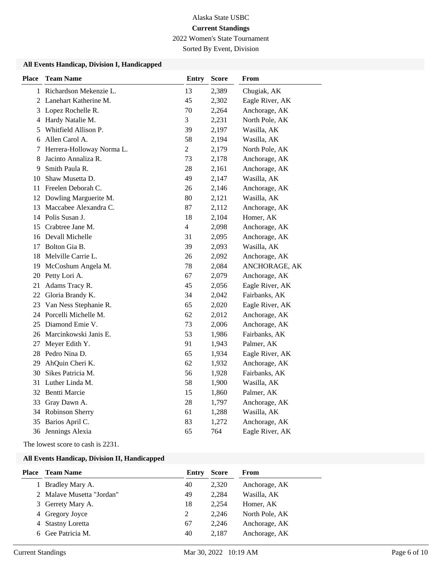2022 Women's State Tournament

Sorted By Event, Division

### **All Events Handicap, Division I, Handicapped**

| <b>Place</b> | <b>Team Name</b>          | <b>Entry</b>            | <b>Score</b> | From            |
|--------------|---------------------------|-------------------------|--------------|-----------------|
|              | 1 Richardson Mekenzie L.  | 13                      | 2,389        | Chugiak, AK     |
|              | 2 Lanehart Katherine M.   | 45                      | 2,302        | Eagle River, AK |
|              | 3 Lopez Rochelle R.       | 70                      | 2,264        | Anchorage, AK   |
| 4            | Hardy Natalie M.          | 3                       | 2,231        | North Pole, AK  |
| 5            | Whitfield Allison P.      | 39                      | 2,197        | Wasilla, AK     |
|              | 6 Allen Carol A.          | 58                      | 2,194        | Wasilla, AK     |
| 7            | Herrera-Holloway Norma L. | $\overline{c}$          | 2,179        | North Pole, AK  |
| 8            | Jacinto Annaliza R.       | 73                      | 2,178        | Anchorage, AK   |
| 9            | Smith Paula R.            | 28                      | 2,161        | Anchorage, AK   |
| 10           | Shaw Musetta D.           | 49                      | 2,147        | Wasilla, AK     |
| 11           | Freelen Deborah C.        | 26                      | 2,146        | Anchorage, AK   |
|              | 12 Dowling Marguerite M.  | 80                      | 2,121        | Wasilla, AK     |
| 13           | Maccabee Alexandra C.     | 87                      | 2,112        | Anchorage, AK   |
|              | 14 Polis Susan J.         | 18                      | 2,104        | Homer, AK       |
|              | 15 Crabtree Jane M.       | $\overline{\mathbf{4}}$ | 2,098        | Anchorage, AK   |
|              | 16 Devall Michelle        | 31                      | 2,095        | Anchorage, AK   |
| 17           | Bolton Gia B.             | 39                      | 2,093        | Wasilla, AK     |
| 18           | Melville Carrie L.        | 26                      | 2,092        | Anchorage, AK   |
| 19           | McCoshum Angela M.        | 78                      | 2,084        | ANCHORAGE, AK   |
| 20           | Petty Lori A.             | 67                      | 2,079        | Anchorage, AK   |
| 21           | Adams Tracy R.            | 45                      | 2,056        | Eagle River, AK |
|              | 22 Gloria Brandy K.       | 34                      | 2,042        | Fairbanks, AK   |
|              | 23 Van Ness Stephanie R.  | 65                      | 2,020        | Eagle River, AK |
|              | 24 Porcelli Michelle M.   | 62                      | 2,012        | Anchorage, AK   |
|              | 25 Diamond Emie V.        | 73                      | 2,006        | Anchorage, AK   |
|              | 26 Marcinkowski Janis E.  | 53                      | 1,986        | Fairbanks, AK   |
| 27           | Meyer Edith Y.            | 91                      | 1,943        | Palmer, AK      |
|              | 28 Pedro Nina D.          | 65                      | 1,934        | Eagle River, AK |
| 29           | AhQuin Cheri K.           | 62                      | 1,932        | Anchorage, AK   |
|              | 30 Sikes Patricia M.      | 56                      | 1,928        | Fairbanks, AK   |
|              | 31 Luther Linda M.        | 58                      | 1,900        | Wasilla, AK     |
|              | 32 Bentti Marcie          | 15                      | 1,860        | Palmer, AK      |
|              | 33 Gray Dawn A.           | 28                      | 1,797        | Anchorage, AK   |
| 34           | <b>Robinson Sherry</b>    | 61                      | 1,288        | Wasilla, AK     |
| 35           | Barios April C.           | 83                      | 1,272        | Anchorage, AK   |
|              | 36 Jennings Alexia        | 65                      | 764          | Eagle River, AK |

The lowest score to cash is 2231.

## **All Events Handicap, Division II, Handicapped**

| Place | <b>Team Name</b>          | Entry | <b>Score</b> | From           |
|-------|---------------------------|-------|--------------|----------------|
|       | 1 Bradley Mary A.         | 40    | 2,320        | Anchorage, AK  |
|       | 2 Malave Musetta "Jordan" | 49    | 2.284        | Wasilla, AK    |
|       | 3 Gerrety Mary A.         | 18    | 2.254        | Homer, AK      |
|       | 4 Gregory Joyce           | 2     | 2.246        | North Pole, AK |
|       | 4 Stastny Loretta         | 67    | 2.246        | Anchorage, AK  |
|       | 6 Gee Patricia M.         | 40    | 2.187        | Anchorage, AK  |
|       |                           |       |              |                |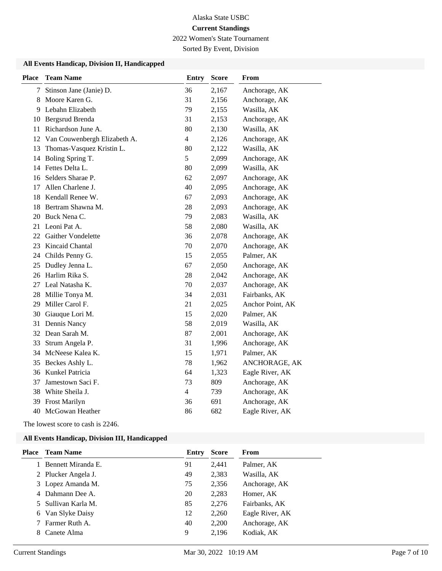2022 Women's State Tournament

Sorted By Event, Division

## **All Events Handicap, Division II, Handicapped**

| <b>Place</b> | <b>Team Name</b>             | <b>Entry</b>   | <b>Score</b> | From             |
|--------------|------------------------------|----------------|--------------|------------------|
| 7            | Stinson Jane (Janie) D.      | 36             | 2,167        | Anchorage, AK    |
| 8            | Moore Karen G.               | 31             | 2,156        | Anchorage, AK    |
| 9            | Lebahn Elizabeth             | 79             | 2,155        | Wasilla, AK      |
| 10           | Bergsrud Brenda              | 31             | 2,153        | Anchorage, AK    |
| 11           | Richardson June A.           | 80             | 2,130        | Wasilla, AK      |
| 12           | Van Couwenbergh Elizabeth A. | $\overline{4}$ | 2,126        | Anchorage, AK    |
| 13           | Thomas-Vasquez Kristin L.    | 80             | 2,122        | Wasilla, AK      |
| 14           | Boling Spring T.             | 5              | 2,099        | Anchorage, AK    |
| 14           | Fettes Delta L.              | 80             | 2,099        | Wasilla, AK      |
| 16           | Selders Sharae P.            | 62             | 2,097        | Anchorage, AK    |
| 17           | Allen Charlene J.            | 40             | 2,095        | Anchorage, AK    |
| 18           | Kendall Renee W.             | 67             | 2,093        | Anchorage, AK    |
| 18           | Bertram Shawna M.            | 28             | 2,093        | Anchorage, AK    |
| 20           | Buck Nena C.                 | 79             | 2,083        | Wasilla, AK      |
| 21           | Leoni Pat A.                 | 58             | 2,080        | Wasilla, AK      |
| 22           | <b>Gaither Vondelette</b>    | 36             | 2,078        | Anchorage, AK    |
| 23           | Kincaid Chantal              | 70             | 2,070        | Anchorage, AK    |
| 24           | Childs Penny G.              | 15             | 2,055        | Palmer, AK       |
| 25           | Dudley Jenna L.              | 67             | 2,050        | Anchorage, AK    |
| 26           | Harlim Rika S.               | 28             | 2,042        | Anchorage, AK    |
| 27           | Leal Natasha K.              | 70             | 2,037        | Anchorage, AK    |
| 28           | Millie Tonya M.              | 34             | 2,031        | Fairbanks, AK    |
| 29           | Miller Carol F.              | 21             | 2,025        | Anchor Point, AK |
| 30           | Giauque Lori M.              | 15             | 2,020        | Palmer, AK       |
| 31           | Dennis Nancy                 | 58             | 2,019        | Wasilla, AK      |
| 32           | Dean Sarah M.                | 87             | 2,001        | Anchorage, AK    |
| 33           | Strum Angela P.              | 31             | 1,996        | Anchorage, AK    |
| 34           | McNeese Kalea K.             | 15             | 1,971        | Palmer, AK       |
| 35           | Beckes Ashly L.              | 78             | 1,962        | ANCHORAGE, AK    |
| 36           | Kunkel Patricia              | 64             | 1,323        | Eagle River, AK  |
| 37           | Jamestown Saci F.            | 73             | 809          | Anchorage, AK    |
| 38           | White Sheila J.              | $\overline{4}$ | 739          | Anchorage, AK    |
| 39           | Frost Marilyn                | 36             | 691          | Anchorage, AK    |
| 40           | McGowan Heather              | 86             | 682          | Eagle River, AK  |

The lowest score to cash is 2246.

### **All Events Handicap, Division III, Handicapped**

| Place | <b>Team Name</b>    | Entry | <b>Score</b> | From            |
|-------|---------------------|-------|--------------|-----------------|
|       | Bennett Miranda E.  | 91    | 2.441        | Palmer, AK      |
|       | 2 Plucker Angela J. | 49    | 2,383        | Wasilla, AK     |
|       | 3 Lopez Amanda M.   | 75    | 2,356        | Anchorage, AK   |
|       | 4 Dahmann Dee A.    | 20    | 2,283        | Homer, AK       |
|       | 5 Sullivan Karla M. | 85    | 2,276        | Fairbanks, AK   |
|       | 6 Van Slyke Daisy   | 12    | 2,260        | Eagle River, AK |
|       | Farmer Ruth A.      | 40    | 2,200        | Anchorage, AK   |
|       | Canete Alma         | 9     | 2,196        | Kodiak, AK      |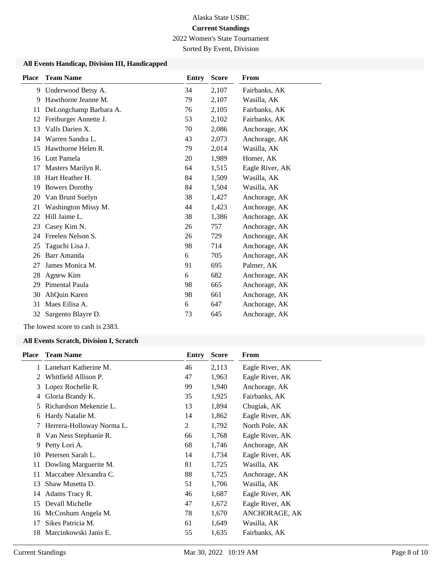2022 Women's State Tournament

Sorted By Event, Division

## **All Events Handicap, Division III, Handicapped**

| <b>Place</b> | <b>Team Name</b>       | <b>Entry</b> | <b>Score</b> | From            |
|--------------|------------------------|--------------|--------------|-----------------|
|              | 9 Underwood Betsy A.   | 34           | 2,107        | Fairbanks, AK   |
| 9            | Hawthorne Jeanne M.    | 79           | 2,107        | Wasilla, AK     |
| 11           | DeLongchamp Barbara A. | 76           | 2,105        | Fairbanks, AK   |
| 12           | Freiburger Annette J.  | 53           | 2,102        | Fairbanks, AK   |
| 13           | Valls Darien X.        | 70           | 2,086        | Anchorage, AK   |
| 14           | Warren Sandra L.       | 43           | 2,073        | Anchorage, AK   |
| 15           | Hawthorne Helen R.     | 79           | 2,014        | Wasilla, AK     |
| 16           | Lott Pamela            | 20           | 1,989        | Homer, AK       |
| 17           | Masters Marilyn R.     | 64           | 1,515        | Eagle River, AK |
| 18           | Hart Heather H.        | 84           | 1,509        | Wasilla, AK     |
| 19           | <b>Bowers Dorothy</b>  | 84           | 1,504        | Wasilla, AK     |
| 20           | Van Brunt Suelyn       | 38           | 1,427        | Anchorage, AK   |
| 21           | Washington Missy M.    | 44           | 1,423        | Anchorage, AK   |
| 22           | Hill Jaime L.          | 38           | 1,386        | Anchorage, AK   |
| 23           | Casey Kim N.           | 26           | 757          | Anchorage, AK   |
| 24           | Freelen Nelson S.      | 26           | 729          | Anchorage, AK   |
| 25           | Taguchi Lisa J.        | 98           | 714          | Anchorage, AK   |
| 26           | Barr Amanda            | 6            | 705          | Anchorage, AK   |
| 27           | James Monica M.        | 91           | 695          | Palmer, AK      |
| 28           | Agnew Kim              | 6            | 682          | Anchorage, AK   |
| 29           | Pimental Paula         | 98           | 665          | Anchorage, AK   |
| 30           | AhQuin Karen           | 98           | 661          | Anchorage, AK   |
| 31           | Maes Eilisa A.         | 6            | 647          | Anchorage, AK   |
| 32           | Sargento Blayre D.     | 73           | 645          | Anchorage, AK   |

The lowest score to cash is 2383.

### **All Events Scratch, Division I, Scratch**

| <b>Place</b> | <b>Team Name</b>          | Entry | <b>Score</b> | From            |
|--------------|---------------------------|-------|--------------|-----------------|
|              | Lanehart Katherine M.     | 46    | 2,113        | Eagle River, AK |
| 2            | Whitfield Allison P.      | 47    | 1,963        | Eagle River, AK |
| 3            | Lopez Rochelle R.         | 99    | 1,940        | Anchorage, AK   |
| 4            | Gloria Brandy K.          | 35    | 1,925        | Fairbanks, AK   |
| 5            | Richardson Mekenzie L.    | 13    | 1,894        | Chugiak, AK     |
| 6            | Hardy Natalie M.          | 14    | 1,862        | Eagle River, AK |
| 7            | Herrera-Holloway Norma L. | 2     | 1,792        | North Pole, AK  |
| 8            | Van Ness Stephanie R.     | 66    | 1,768        | Eagle River, AK |
| 9            | Petty Lori A.             | 68    | 1,746        | Anchorage, AK   |
| 10           | Petersen Sarah L.         | 14    | 1,734        | Eagle River, AK |
| 11           | Dowling Marguerite M.     | 81    | 1,725        | Wasilla, AK     |
| 11           | Maccabee Alexandra C.     | 88    | 1,725        | Anchorage, AK   |
| 13           | Shaw Musetta D.           | 51    | 1,706        | Wasilla, AK     |
| 14           | Adams Tracy R.            | 46    | 1,687        | Eagle River, AK |
| 15           | Devall Michelle           | 47    | 1,672        | Eagle River, AK |
| 16           | McCoshum Angela M.        | 78    | 1,670        | ANCHORAGE, AK   |
| 17           | Sikes Patricia M.         | 61    | 1,649        | Wasilla, AK     |
| 18           | Marcinkowski Janis E.     | 55    | 1,635        | Fairbanks, AK   |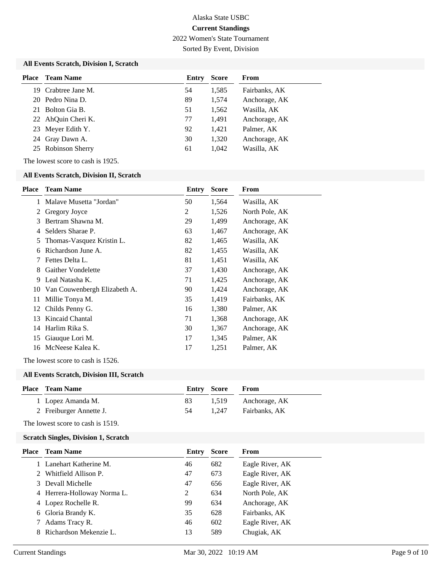2022 Women's State Tournament

Sorted By Event, Division

# **All Events Scratch, Division I, Scratch**

| <b>Place</b> | <b>Team Name</b>    | Entry | <b>Score</b> | From          |
|--------------|---------------------|-------|--------------|---------------|
|              | 19 Crabtree Jane M. | 54    | 1,585        | Fairbanks, AK |
|              | 20 Pedro Nina D.    | 89    | 1,574        | Anchorage, AK |
|              | 21 Bolton Gia B.    | 51    | 1,562        | Wasilla, AK   |
|              | 22 AhQuin Cheri K.  | 77    | 1,491        | Anchorage, AK |
|              | 23 Meyer Edith Y.   | 92    | 1,421        | Palmer, AK    |
|              | 24 Gray Dawn A.     | 30    | 1,320        | Anchorage, AK |
|              | 25 Robinson Sherry  | 61    | 1,042        | Wasilla, AK   |

The lowest score to cash is 1925.

### **All Events Scratch, Division II, Scratch**

| <b>Place</b> | <b>Team Name</b>             | Entry | <b>Score</b> | From           |
|--------------|------------------------------|-------|--------------|----------------|
|              | Malaye Musetta "Jordan"      | 50    | 1,564        | Wasilla, AK    |
| 2            | Gregory Joyce                | 2     | 1,526        | North Pole, AK |
| 3            | Bertram Shawna M.            | 29    | 1,499        | Anchorage, AK  |
| 4            | Selders Sharae P.            | 63    | 1,467        | Anchorage, AK  |
| 5            | Thomas-Vasquez Kristin L.    | 82    | 1,465        | Wasilla, AK    |
| 6            | Richardson June A.           | 82    | 1,455        | Wasilla, AK    |
| 7            | Fettes Delta L.              | 81    | 1,451        | Wasilla, AK    |
| 8            | <b>Gaither Vondelette</b>    | 37    | 1,430        | Anchorage, AK  |
| 9            | Leal Natasha K.              | 71    | 1,425        | Anchorage, AK  |
| 10           | Van Couwenbergh Elizabeth A. | 90    | 1,424        | Anchorage, AK  |
| 11           | Millie Tonya M.              | 35    | 1,419        | Fairbanks, AK  |
| 12           | Childs Penny G.              | 16    | 1,380        | Palmer, AK     |
| 13           | Kincaid Chantal              | 71    | 1,368        | Anchorage, AK  |
| 14           | Harlim Rika S.               | 30    | 1,367        | Anchorage, AK  |
| 15           | Giauque Lori M.              | 17    | 1,345        | Palmer, AK     |
| 16           | McNeese Kalea K.             | 17    | 1,251        | Palmer, AK     |

The lowest score to cash is 1526.

### **All Events Scratch, Division III, Scratch**

| <b>Place</b> Team Name  |     | <b>Entry Score</b> | <b>From</b>         |
|-------------------------|-----|--------------------|---------------------|
| 1 Lopez Amanda M.       | 83  |                    | 1,519 Anchorage, AK |
| 2 Freiburger Annette J. | -54 |                    | 1.247 Fairbanks, AK |

The lowest score to cash is 1519.

### **Scratch Singles, Division 1, Scratch**

| Place | <b>Team Name</b>            | Entry | <b>Score</b> | From            |
|-------|-----------------------------|-------|--------------|-----------------|
|       | Lanehart Katherine M.       | 46    | 682          | Eagle River, AK |
|       | Whitfield Allison P.        | 47    | 673          | Eagle River, AK |
|       | 3 Devall Michelle           | 47    | 656          | Eagle River, AK |
|       | 4 Herrera-Holloway Norma L. | 2     | 634          | North Pole, AK  |
|       | 4 Lopez Rochelle R.         | 99    | 634          | Anchorage, AK   |
|       | 6 Gloria Brandy K.          | 35    | 628          | Fairbanks, AK   |
|       | Adams Tracy R.              | 46    | 602          | Eagle River, AK |
|       | Richardson Mekenzie L.      | 13    | 589          | Chugiak, AK     |